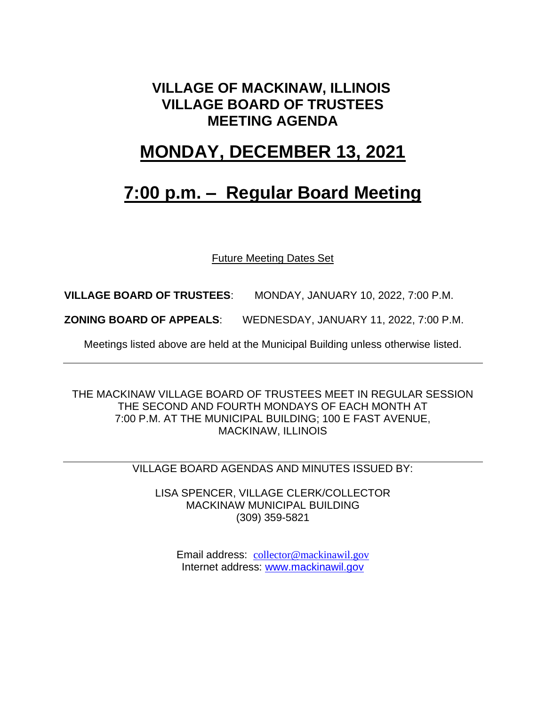#### **VILLAGE OF MACKINAW, ILLINOIS VILLAGE BOARD OF TRUSTEES MEETING AGENDA**

### **MONDAY, DECEMBER 13, 2021**

## **7:00 p.m. – Regular Board Meeting**

Future Meeting Dates Set

**VILLAGE BOARD OF TRUSTEES**: MONDAY, JANUARY 10, 2022, 7:00 P.M.

**ZONING BOARD OF APPEALS**: WEDNESDAY, JANUARY 11, 2022, 7:00 P.M.

Meetings listed above are held at the Municipal Building unless otherwise listed.

THE MACKINAW VILLAGE BOARD OF TRUSTEES MEET IN REGULAR SESSION THE SECOND AND FOURTH MONDAYS OF EACH MONTH AT 7:00 P.M. AT THE MUNICIPAL BUILDING; 100 E FAST AVENUE, MACKINAW, ILLINOIS

VILLAGE BOARD AGENDAS AND MINUTES ISSUED BY:

LISA SPENCER, VILLAGE CLERK/COLLECTOR MACKINAW MUNICIPAL BUILDING (309) 359-5821

Email address: [collector@mackinawil.gov](mailto:collector@mackinawil.gov) Internet address: [www.mackinawil.gov](http://www.mackinawil.gov/)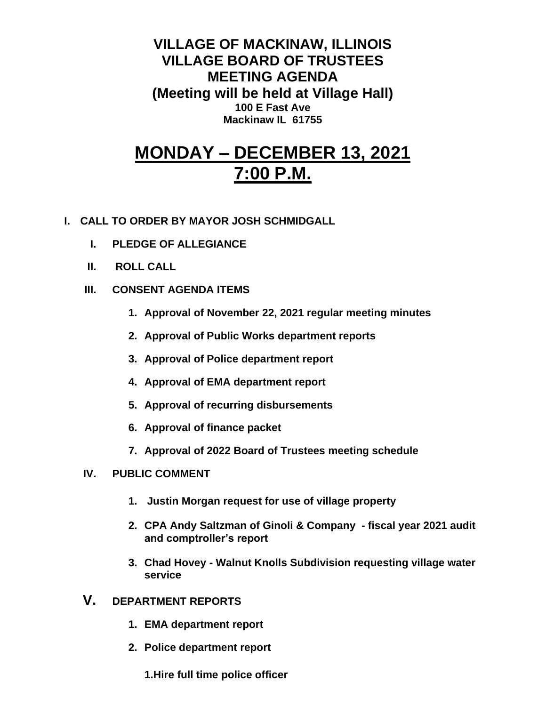**VILLAGE OF MACKINAW, ILLINOIS VILLAGE BOARD OF TRUSTEES MEETING AGENDA (Meeting will be held at Village Hall) 100 E Fast Ave Mackinaw IL 61755**

# **MONDAY – DECEMBER 13, 2021 7:00 P.M.**

- **I. CALL TO ORDER BY MAYOR JOSH SCHMIDGALL**
	- **I. PLEDGE OF ALLEGIANCE**
	- **II. ROLL CALL**
	- **III. CONSENT AGENDA ITEMS** 
		- **1. Approval of November 22, 2021 regular meeting minutes**
		- **2. Approval of Public Works department reports**
		- **3. Approval of Police department report**
		- **4. Approval of EMA department report**
		- **5. Approval of recurring disbursements**
		- **6. Approval of finance packet**
		- **7. Approval of 2022 Board of Trustees meeting schedule**
	- **IV. PUBLIC COMMENT**
		- **1. Justin Morgan request for use of village property**
		- **2. CPA Andy Saltzman of Ginoli & Company - fiscal year 2021 audit and comptroller's report**
		- **3. Chad Hovey - Walnut Knolls Subdivision requesting village water service**
	- **V. DEPARTMENT REPORTS** 
		- **1. EMA department report**
		- **2. Police department report**

**1.Hire full time police officer**